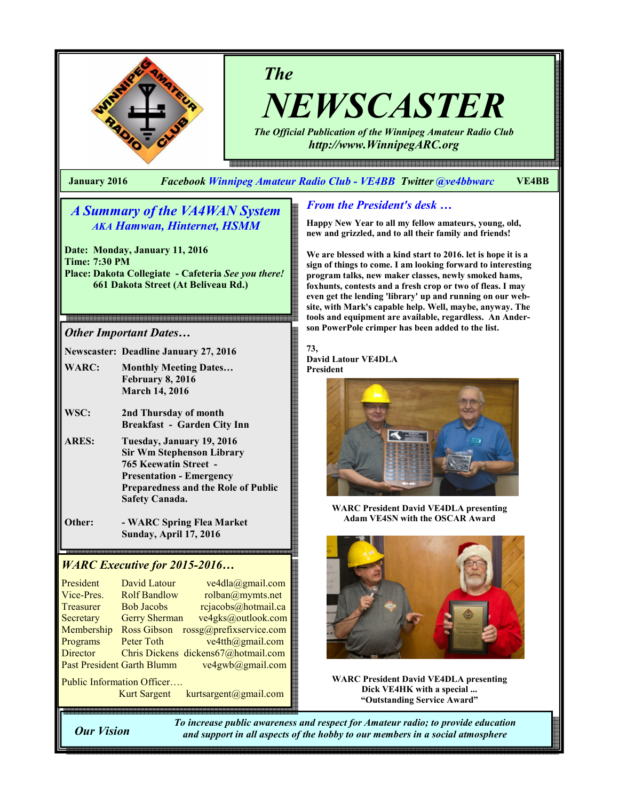

# The

NEWSCASTER The Official Publication of the Winnipeg Amateur Radio Club

e 1999 - 1999 - 1999 - 1999 - 1999 - 1999 - 1999 - 1999 - 1999 - 1999 - 1999 - 1999 - 1999 - 1999 - 1999 - 1999 - 1999 - 1999 - 1999 - 1999 - 1999 - 1999 - 1999 - 1999 - 1999 - 1999 - 1

http://www.WinnipegARC.org

January 2016 Facebook Winnipeg Amateur Radio Club - VE4BB Twitter @ve4bbwarc VE4BB

## A Summary of the VA4WAN System AKA Hamwan, Hinternet, HSMM

Date: Monday, January 11, 2016 Time: 7:30 PM Place: Dakota Collegiate - Cafeteria See you there! 661 Dakota Street (At Beliveau Rd.)

### Other Important Dates…

Newscaster: Deadline January 27, 2016

- WARC: Monthly Meeting Dates... February 8, 2016 March 14, 2016
- WSC: 2nd Thursday of month Breakfast - Garden City Inn
- ARES: Tuesday, January 19, 2016 Sir Wm Stephenson Library 765 Keewatin Street - Presentation - Emergency Preparedness and the Role of Public Safety Canada.
- Other: WARC Spring Flea Market Sunday, April 17, 2016

## WARC Executive for 2015-2016…

| President                         | <b>David Latour</b>  | ve4dla@gmail.com                    |  |  |  |
|-----------------------------------|----------------------|-------------------------------------|--|--|--|
| Vice-Pres.                        | <b>Rolf Bandlow</b>  | rolban@mymts.net                    |  |  |  |
| Treasurer                         | <b>Bob Jacobs</b>    | rcjacobs@hotmail.ca                 |  |  |  |
| Secretary                         | <b>Gerry Sherman</b> | ve4gks@outlook.com                  |  |  |  |
| Membership                        | <b>Ross Gibson</b>   | rossg@prefixservice.com             |  |  |  |
| Programs                          | Peter Toth           | ve4tth@gmail.com                    |  |  |  |
| <b>Director</b>                   |                      | Chris Dickens dickens67@hotmail.com |  |  |  |
| <b>Past President Garth Blumm</b> |                      | ve4gwb@gmail.com                    |  |  |  |
| Public Information Officer        |                      |                                     |  |  |  |

Kurt Sargent kurtsargent@gmail.com

## From the President's desk …

Happy New Year to all my fellow amateurs, young, old, new and grizzled, and to all their family and friends!

We are blessed with a kind start to 2016. let is hope it is a sign of things to come. I am looking forward to interesting program talks, new maker classes, newly smoked hams, foxhunts, contests and a fresh crop or two of fleas. I may even get the lending 'library' up and running on our website, with Mark's capable help. Well, maybe, anyway. The tools and equipment are available, regardless. An Anderson PowerPole crimper has been added to the list.

#### 73, David Latour VE4DLA President



WARC President David VE4DLA presenting Adam VE4SN with the OSCAR Award



WARC President David VE4DLA presenting Dick VE4HK with a special ... "Outstanding Service Award"

Our Vision

֦

To increase public awareness and respect for Amateur radio; to provide education and support in all aspects of the hobby to our members in a social atmosphere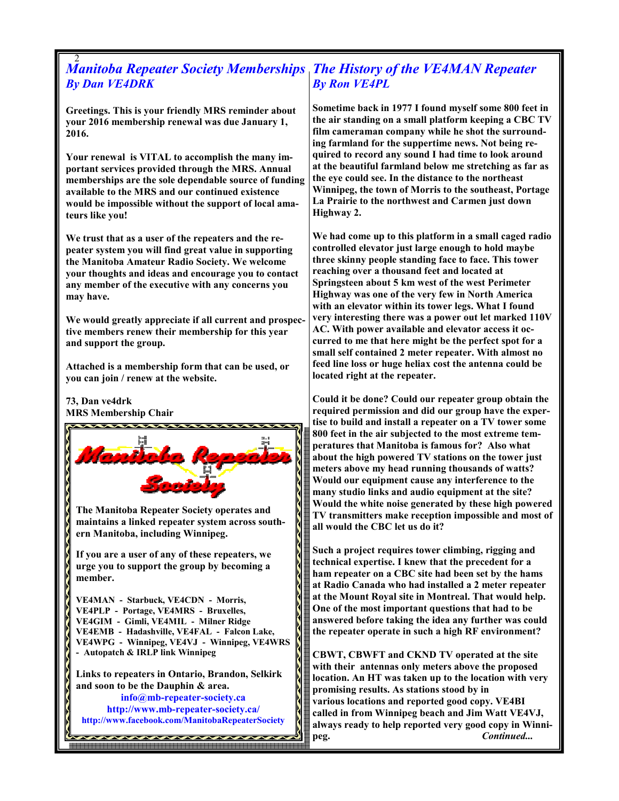#### 2 Manitoba Repeater Society Memberships The History of the VE4MAN Repeater By Dan VE4DRK By Ron VE4PL

Greetings. This is your friendly MRS reminder about your 2016 membership renewal was due January 1, 2016.

Your renewal is VITAL to accomplish the many important services provided through the MRS. Annual memberships are the sole dependable source of funding available to the MRS and our continued existence would be impossible without the support of local amateurs like you!

We trust that as a user of the repeaters and the repeater system you will find great value in supporting the Manitoba Amateur Radio Society. We welcome your thoughts and ideas and encourage you to contact any member of the executive with any concerns you may have.

We would greatly appreciate if all current and prospective members renew their membership for this year and support the group.

Attached is a membership form that can be used, or you can join / renew at the website.

## 73, Dan ve4drk

MRS Membership Chair



Sometime back in 1977 I found myself some 800 feet in the air standing on a small platform keeping a CBC TV film cameraman company while he shot the surrounding farmland for the suppertime news. Not being required to record any sound I had time to look around at the beautiful farmland below me stretching as far as the eye could see. In the distance to the northeast Winnipeg, the town of Morris to the southeast, Portage La Prairie to the northwest and Carmen just down Highway 2.

We had come up to this platform in a small caged radio controlled elevator just large enough to hold maybe three skinny people standing face to face. This tower reaching over a thousand feet and located at Springsteen about 5 km west of the west Perimeter Highway was one of the very few in North America with an elevator within its tower legs. What I found very interesting there was a power out let marked 110V AC. With power available and elevator access it occurred to me that here might be the perfect spot for a small self contained 2 meter repeater. With almost no feed line loss or huge heliax cost the antenna could be located right at the repeater.

Could it be done? Could our repeater group obtain the required permission and did our group have the expertise to build and install a repeater on a TV tower some 800 feet in the air subjected to the most extreme temperatures that Manitoba is famous for? Also what about the high powered TV stations on the tower just meters above my head running thousands of watts? Would our equipment cause any interference to the many studio links and audio equipment at the site? Would the white noise generated by these high powered TV transmitters make reception impossible and most of all would the CBC let us do it?

Such a project requires tower climbing, rigging and technical expertise. I knew that the precedent for a ham repeater on a CBC site had been set by the hams at Radio Canada who had installed a 2 meter repeater at the Mount Royal site in Montreal. That would help. One of the most important questions that had to be answered before taking the idea any further was could the repeater operate in such a high RF environment?

CBWT, CBWFT and CKND TV operated at the site with their antennas only meters above the proposed location. An HT was taken up to the location with very promising results. As stations stood by in various locations and reported good copy. VE4BI called in from Winnipeg beach and Jim Watt VE4VJ, always ready to help reported very good copy in Winnipeg. Continued...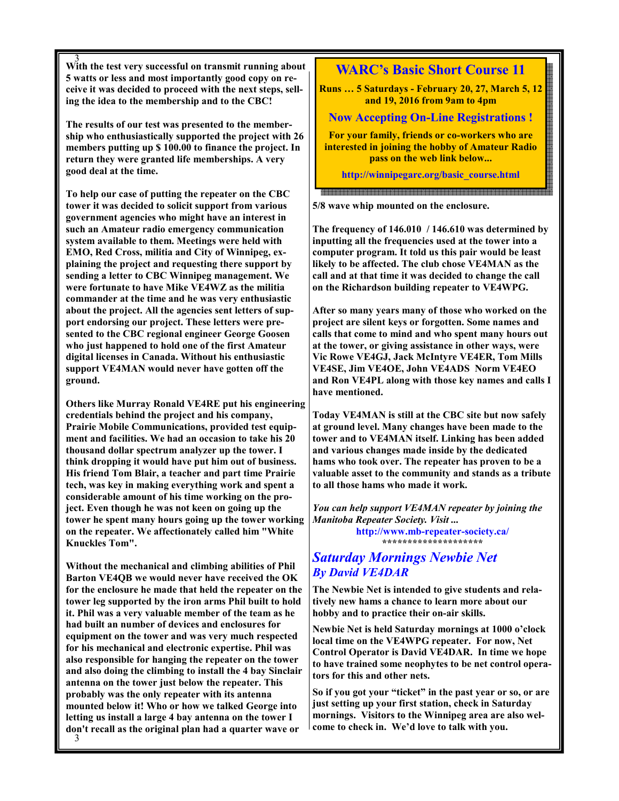3 With the test very successful on transmit running about 5 watts or less and most importantly good copy on receive it was decided to proceed with the next steps, selling the idea to the membership and to the CBC!

The results of our test was presented to the membership who enthusiastically supported the project with 26 members putting up \$ 100.00 to finance the project. In return they were granted life memberships. A very good deal at the time.

To help our case of putting the repeater on the CBC tower it was decided to solicit support from various government agencies who might have an interest in such an Amateur radio emergency communication system available to them. Meetings were held with EMO, Red Cross, militia and City of Winnipeg, explaining the project and requesting there support by sending a letter to CBC Winnipeg management. We were fortunate to have Mike VE4WZ as the militia commander at the time and he was very enthusiastic about the project. All the agencies sent letters of support endorsing our project. These letters were presented to the CBC regional engineer George Goosen who just happened to hold one of the first Amateur digital licenses in Canada. Without his enthusiastic support VE4MAN would never have gotten off the ground.

Others like Murray Ronald VE4RE put his engineering credentials behind the project and his company, Prairie Mobile Communications, provided test equipment and facilities. We had an occasion to take his 20 thousand dollar spectrum analyzer up the tower. I think dropping it would have put him out of business. His friend Tom Blair, a teacher and part time Prairie tech, was key in making everything work and spent a considerable amount of his time working on the project. Even though he was not keen on going up the tower he spent many hours going up the tower working on the repeater. We affectionately called him "White Knuckles Tom".

Without the mechanical and climbing abilities of Phil Barton VE4QB we would never have received the OK for the enclosure he made that held the repeater on the tower leg supported by the iron arms Phil built to hold it. Phil was a very valuable member of the team as he had built an number of devices and enclosures for equipment on the tower and was very much respected for his mechanical and electronic expertise. Phil was also responsible for hanging the repeater on the tower and also doing the climbing to install the 4 bay Sinclair antenna on the tower just below the repeater. This probably was the only repeater with its antenna mounted below it! Who or how we talked George into letting us install a large 4 bay antenna on the tower I don't recall as the original plan had a quarter wave or

## WARC's Basic Short Course 11

Runs … 5 Saturdays - February 20, 27, March 5, 12 and 19, 2016 from 9am to 4pm

### Now Accepting On-Line Registrations !

For your family, friends or co-workers who are interested in joining the hobby of Amateur Radio pass on the web link below...

http://winnipegarc.org/basic\_course.html

5/8 wave whip mounted on the enclosure.

The frequency of 146.010 / 146.610 was determined by inputting all the frequencies used at the tower into a computer program. It told us this pair would be least likely to be affected. The club chose VE4MAN as the call and at that time it was decided to change the call on the Richardson building repeater to VE4WPG.

After so many years many of those who worked on the project are silent keys or forgotten. Some names and calls that come to mind and who spent many hours out at the tower, or giving assistance in other ways, were Vic Rowe VE4GJ, Jack McIntyre VE4ER, Tom Mills VE4SE, Jim VE4OE, John VE4ADS Norm VE4EO and Ron VE4PL along with those key names and calls I have mentioned.

Today VE4MAN is still at the CBC site but now safely at ground level. Many changes have been made to the tower and to VE4MAN itself. Linking has been added and various changes made inside by the dedicated hams who took over. The repeater has proven to be a valuable asset to the community and stands as a tribute to all those hams who made it work.

You can help support VE4MAN repeater by joining the Manitoba Repeater Society. Visit ... http://www.mb-repeater-society.ca/ \*\*\*\*\*\*\*\*\*\*\*\*\*\*\*\*\*\*\*\*

## Saturday Mornings Newbie Net By David VE4DAR

The Newbie Net is intended to give students and relatively new hams a chance to learn more about our hobby and to practice their on-air skills.

Newbie Net is held Saturday mornings at 1000 o'clock local time on the VE4WPG repeater. For now, Net Control Operator is David VE4DAR. In time we hope to have trained some neophytes to be net control operators for this and other nets.

So if you got your "ticket" in the past year or so, or are just setting up your first station, check in Saturday mornings. Visitors to the Winnipeg area are also welcome to check in. We'd love to talk with you.

3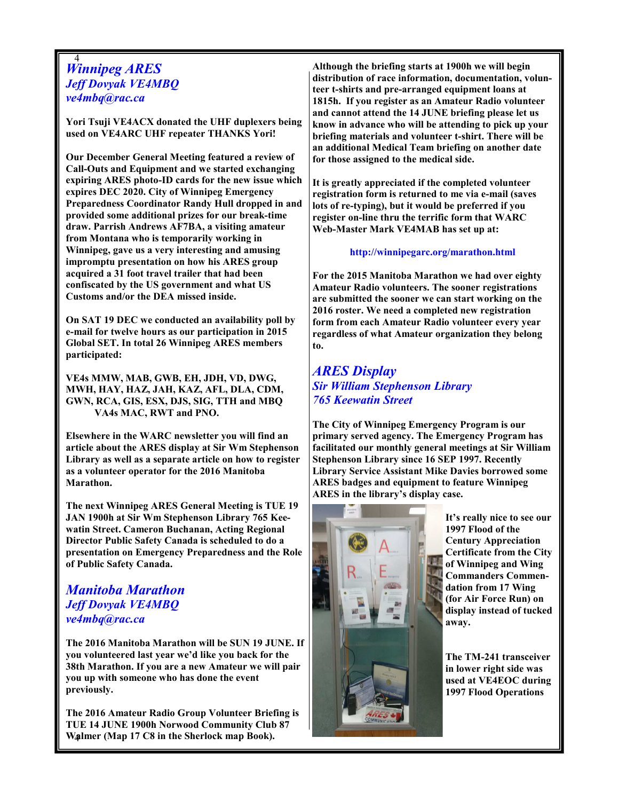### 4 Winnipeg ARES Jeff Dovyak VE4MBQ ve4mbq@rac.ca

Yori Tsuji VE4ACX donated the UHF duplexers being used on VE4ARC UHF repeater THANKS Yori!

Our December General Meeting featured a review of Call-Outs and Equipment and we started exchanging expiring ARES photo-ID cards for the new issue which expires DEC 2020. City of Winnipeg Emergency Preparedness Coordinator Randy Hull dropped in and provided some additional prizes for our break-time draw. Parrish Andrews AF7BA, a visiting amateur from Montana who is temporarily working in Winnipeg, gave us a very interesting and amusing impromptu presentation on how his ARES group acquired a 31 foot travel trailer that had been confiscated by the US government and what US Customs and/or the DEA missed inside.

On SAT 19 DEC we conducted an availability poll by e-mail for twelve hours as our participation in 2015 Global SET. In total 26 Winnipeg ARES members participated:

VE4s MMW, MAB, GWB, EH, JDH, VD, DWG, MWH, HAY, HAZ, JAH, KAZ, AFL, DLA, CDM, GWN, RCA, GIS, ESX, DJS, SIG, TTH and MBQ VA4s MAC, RWT and PNO.

Elsewhere in the WARC newsletter you will find an article about the ARES display at Sir Wm Stephenson Library as well as a separate article on how to register as a volunteer operator for the 2016 Manitoba Marathon.

The next Winnipeg ARES General Meeting is TUE 19 JAN 1900h at Sir Wm Stephenson Library 765 Keewatin Street. Cameron Buchanan, Acting Regional Director Public Safety Canada is scheduled to do a presentation on Emergency Preparedness and the Role of Public Safety Canada.

## Manitoba Marathon Jeff Dovyak VE4MBQ ve4mbq@rac.ca

The 2016 Manitoba Marathon will be SUN 19 JUNE. If you volunteered last year we'd like you back for the 38th Marathon. If you are a new Amateur we will pair you up with someone who has done the event previously.

4 Walmer (Map 17 C8 in the Sherlock map Book). The 2016 Amateur Radio Group Volunteer Briefing is TUE 14 JUNE 1900h Norwood Community Club 87

Although the briefing starts at 1900h we will begin distribution of race information, documentation, volunteer t-shirts and pre-arranged equipment loans at 1815h. If you register as an Amateur Radio volunteer and cannot attend the 14 JUNE briefing please let us know in advance who will be attending to pick up your briefing materials and volunteer t-shirt. There will be an additional Medical Team briefing on another date for those assigned to the medical side.

It is greatly appreciated if the completed volunteer registration form is returned to me via e-mail (saves lots of re-typing), but it would be preferred if you register on-line thru the terrific form that WARC Web-Master Mark VE4MAB has set up at:

http://winnipegarc.org/marathon.html

For the 2015 Manitoba Marathon we had over eighty Amateur Radio volunteers. The sooner registrations are submitted the sooner we can start working on the 2016 roster. We need a completed new registration form from each Amateur Radio volunteer every year regardless of what Amateur organization they belong to.

## ARES Display Sir William Stephenson Library 765 Keewatin Street

The City of Winnipeg Emergency Program is our primary served agency. The Emergency Program has facilitated our monthly general meetings at Sir William Stephenson Library since 16 SEP 1997. Recently Library Service Assistant Mike Davies borrowed some ARES badges and equipment to feature Winnipeg ARES in the library's display case.



It's really nice to see our 1997 Flood of the Century Appreciation Certificate from the City of Winnipeg and Wing Commanders Commendation from 17 Wing (for Air Force Run) on display instead of tucked away.

The TM-241 transceiver in lower right side was used at VE4EOC during 1997 Flood Operations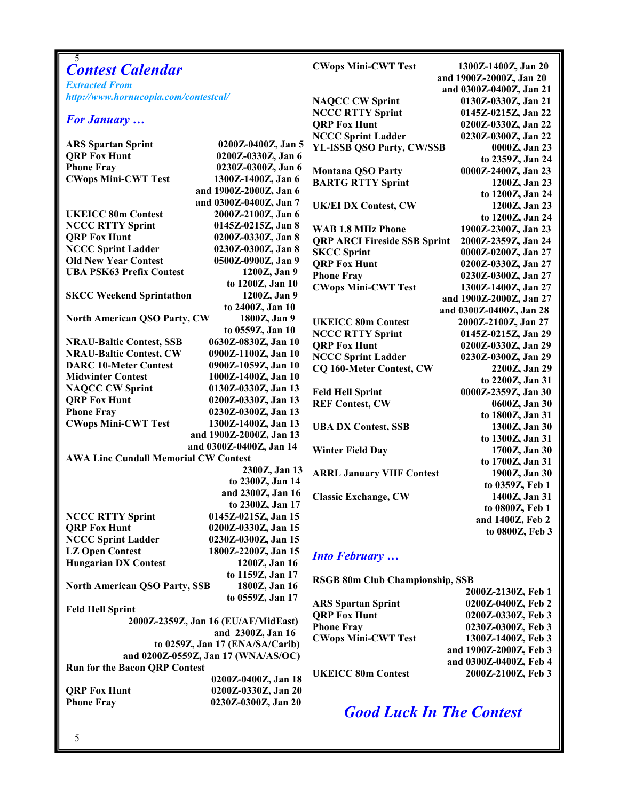| 5                                                        |                                            |                                                    |                                  |
|----------------------------------------------------------|--------------------------------------------|----------------------------------------------------|----------------------------------|
| <b>Contest Calendar</b>                                  |                                            | <b>CWops Mini-CWT Test</b>                         | 1300Z-1400Z, Jan 20              |
| <b>Extracted From</b>                                    |                                            | and 1900Z-2000Z, Jan 20<br>and 0300Z-0400Z, Jan 21 |                                  |
| http://www.hornucopia.com/contestcal/                    |                                            | <b>NAQCC CW Sprint</b>                             | 0130Z-0330Z, Jan 21              |
|                                                          |                                            | <b>NCCC RTTY Sprint</b>                            | 0145Z-0215Z, Jan 22              |
| <b>For January </b>                                      |                                            | <b>QRP Fox Hunt</b>                                | 0200Z-0330Z, Jan 22              |
|                                                          |                                            | <b>NCCC Sprint Ladder</b>                          | 0230Z-0300Z, Jan 22              |
| <b>ARS Spartan Sprint</b>                                | 0200Z-0400Z, Jan 5                         | YL-ISSB QSO Party, CW/SSB                          | 0000Z, Jan 23                    |
| <b>QRP Fox Hunt</b>                                      | 0200Z-0330Z, Jan 6                         |                                                    | to 2359Z, Jan 24                 |
| <b>Phone Fray</b>                                        | 0230Z-0300Z, Jan 6                         | <b>Montana QSO Party</b>                           | 0000Z-2400Z, Jan 23              |
| <b>CWops Mini-CWT Test</b>                               | 1300Z-1400Z, Jan 6                         | <b>BARTG RTTY Sprint</b>                           | 1200Z, Jan 23                    |
|                                                          | and 1900Z-2000Z, Jan 6                     |                                                    | to 1200Z, Jan 24                 |
|                                                          | and 0300Z-0400Z, Jan 7                     | <b>UK/EI DX Contest, CW</b>                        | 1200Z, Jan 23                    |
| <b>UKEICC 80m Contest</b>                                | 2000Z-2100Z, Jan 6                         |                                                    | to 1200Z, Jan 24                 |
| <b>NCCC RTTY Sprint</b>                                  | 0145Z-0215Z, Jan 8                         | <b>WAB 1.8 MHz Phone</b>                           | 1900Z-2300Z, Jan 23              |
| <b>QRP Fox Hunt</b>                                      | 0200Z-0330Z, Jan 8                         | <b>QRP ARCI Fireside SSB Sprint</b>                | 2000Z-2359Z, Jan 24              |
| <b>NCCC Sprint Ladder</b>                                | 0230Z-0300Z, Jan 8                         | <b>SKCC Sprint</b>                                 | 0000Z-0200Z, Jan 27              |
| <b>Old New Year Contest</b>                              | 0500Z-0900Z, Jan 9                         | <b>ORP Fox Hunt</b>                                | 0200Z-0330Z, Jan 27              |
| <b>UBA PSK63 Prefix Contest</b>                          | 1200Z, Jan 9                               | <b>Phone Fray</b>                                  | 0230Z-0300Z, Jan 27              |
|                                                          | to 1200Z, Jan 10                           | <b>CWops Mini-CWT Test</b>                         | 1300Z-1400Z, Jan 27              |
| <b>SKCC Weekend Sprintathon</b>                          | 1200Z, Jan 9                               |                                                    | and 1900Z-2000Z, Jan 27          |
|                                                          | to 2400Z, Jan 10                           |                                                    | and 0300Z-0400Z, Jan 28          |
| <b>North American QSO Party, CW</b>                      | 1800Z, Jan 9                               | <b>UKEICC 80m Contest</b>                          | 2000Z-2100Z, Jan 27              |
|                                                          | to 0559Z, Jan 10                           | <b>NCCC RTTY Sprint</b>                            | 0145Z-0215Z, Jan 29              |
| <b>NRAU-Baltic Contest, SSB</b>                          | 0630Z-0830Z, Jan 10                        | <b>QRP Fox Hunt</b>                                | 0200Z-0330Z, Jan 29              |
| <b>NRAU-Baltic Contest, CW</b>                           | 0900Z-1100Z, Jan 10                        | <b>NCCC Sprint Ladder</b>                          | 0230Z-0300Z, Jan 29              |
| <b>DARC 10-Meter Contest</b><br><b>Midwinter Contest</b> | 0900Z-1059Z, Jan 10                        | CQ 160-Meter Contest, CW                           | 2200Z, Jan 29                    |
| <b>NAQCC CW Sprint</b>                                   | 1000Z-1400Z, Jan 10<br>0130Z-0330Z, Jan 13 |                                                    | to 2200Z, Jan 31                 |
| <b>QRP Fox Hunt</b>                                      | 0200Z-0330Z, Jan 13                        | <b>Feld Hell Sprint</b>                            | 0000Z-2359Z, Jan 30              |
| <b>Phone Fray</b>                                        | 0230Z-0300Z, Jan 13                        | <b>REF Contest, CW</b>                             | 0600Z, Jan 30                    |
| <b>CWops Mini-CWT Test</b>                               | 1300Z-1400Z, Jan 13                        |                                                    | to 1800Z, Jan 31                 |
|                                                          | and 1900Z-2000Z, Jan 13                    | <b>UBA DX Contest, SSB</b>                         | 1300Z, Jan 30                    |
|                                                          | and 0300Z-0400Z, Jan 14                    |                                                    | to 1300Z, Jan 31                 |
| <b>AWA Linc Cundall Memorial CW Contest</b>              |                                            | <b>Winter Field Day</b>                            | 1700Z, Jan 30                    |
|                                                          | 2300Z, Jan 13                              |                                                    | to 1700Z, Jan 31                 |
|                                                          | to 2300Z, Jan 14                           | <b>ARRL January VHF Contest</b>                    | 1900Z, Jan 30<br>to 0359Z, Feb 1 |
|                                                          | and 2300Z, Jan 16                          | <b>Classic Exchange, CW</b>                        | 1400Z, Jan 31                    |
|                                                          | to 2300Z, Jan 17                           |                                                    | to 0800Z, Feb 1                  |
| <b>NCCC RTTY Sprint</b>                                  | 0145Z-0215Z, Jan 15                        |                                                    | and 1400Z, Feb 2                 |
| <b>ORP Fox Hunt</b>                                      | 0200Z-0330Z, Jan 15                        |                                                    | to 0800Z, Feb 3                  |
| <b>NCCC Sprint Ladder</b>                                | 0230Z-0300Z, Jan 15                        |                                                    |                                  |
| <b>LZ Open Contest</b>                                   | 1800Z-2200Z, Jan 15                        | <b>Into February</b>                               |                                  |
| <b>Hungarian DX Contest</b>                              | 1200Z, Jan 16                              |                                                    |                                  |
|                                                          | to 1159Z, Jan 17                           | <b>RSGB 80m Club Championship, SSB</b>             |                                  |
| <b>North American QSO Party, SSB</b>                     | 1800Z, Jan 16                              |                                                    | 2000Z-2130Z, Feb 1               |
|                                                          | to 0559Z, Jan 17                           | <b>ARS</b> Spartan Sprint                          | 0200Z-0400Z, Feb 2               |
| <b>Feld Hell Sprint</b>                                  |                                            | <b>QRP Fox Hunt</b>                                | 0200Z-0330Z, Feb 3               |
| 2000Z-2359Z, Jan 16 (EU/AF/MidEast)                      |                                            | <b>Phone Fray</b>                                  | 0230Z-0300Z, Feb 3               |
| and 2300Z, Jan 16                                        |                                            | <b>CWops Mini-CWT Test</b>                         | 1300Z-1400Z, Feb 3               |
| to 0259Z, Jan 17 (ENA/SA/Carib)                          |                                            |                                                    | and 1900Z-2000Z, Feb 3           |
| and 0200Z-0559Z, Jan 17 (WNA/AS/OC)                      |                                            |                                                    | and 0300Z-0400Z, Feb 4           |
| <b>Run for the Bacon QRP Contest</b>                     |                                            | <b>UKEICC 80m Contest</b>                          | 2000Z-2100Z, Feb 3               |
|                                                          | 0200Z-0400Z, Jan 18                        |                                                    |                                  |
| <b>QRP Fox Hunt</b>                                      | 0200Z-0330Z, Jan 20                        |                                                    |                                  |
| <b>Phone Fray</b>                                        | 0230Z-0300Z, Jan 20                        | <b>Good Luck In The Contest</b>                    |                                  |
|                                                          |                                            |                                                    |                                  |
|                                                          |                                            |                                                    |                                  |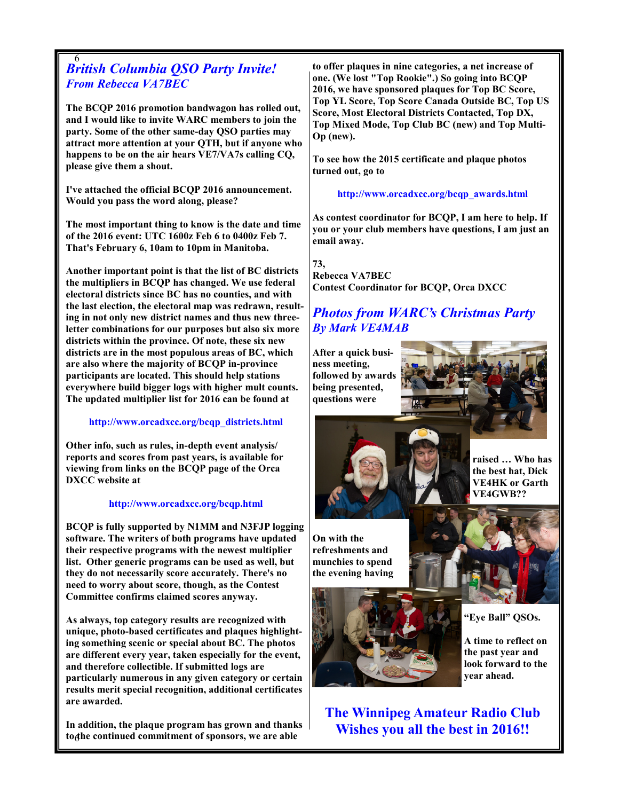#### 6 British Columbia QSO Party Invite! From Rebecca VA7BEC

The BCQP 2016 promotion bandwagon has rolled out, and I would like to invite WARC members to join the party. Some of the other same-day QSO parties may attract more attention at your QTH, but if anyone who happens to be on the air hears VE7/VA7s calling CQ, please give them a shout.

I've attached the official BCQP 2016 announcement. Would you pass the word along, please?

The most important thing to know is the date and time of the 2016 event: UTC 1600z Feb 6 to 0400z Feb 7. That's February 6, 10am to 10pm in Manitoba.

Another important point is that the list of BC districts the multipliers in BCQP has changed. We use federal electoral districts since BC has no counties, and with the last election, the electoral map was redrawn, resulting in not only new district names and thus new threeletter combinations for our purposes but also six more districts within the province. Of note, these six new districts are in the most populous areas of BC, which are also where the majority of BCQP in-province participants are located. This should help stations everywhere build bigger logs with higher mult counts. The updated multiplier list for 2016 can be found at

### http://www.orcadxcc.org/bcqp\_districts.html

Other info, such as rules, in-depth event analysis/ reports and scores from past years, is available for viewing from links on the BCQP page of the Orca DXCC website at

#### http://www.orcadxcc.org/bcqp.html

BCQP is fully supported by N1MM and N3FJP logging software. The writers of both programs have updated their respective programs with the newest multiplier list. Other generic programs can be used as well, but they do not necessarily score accurately. There's no need to worry about score, though, as the Contest Committee confirms claimed scores anyway.

As always, top category results are recognized with unique, photo-based certificates and plaques highlighting something scenic or special about BC. The photos are different every year, taken especially for the event, and therefore collectible. If submitted logs are particularly numerous in any given category or certain results merit special recognition, additional certificates are awarded.

to the continued commitment of sponsors, we are able In addition, the plaque program has grown and thanks

to offer plaques in nine categories, a net increase of one. (We lost "Top Rookie".) So going into BCQP 2016, we have sponsored plaques for Top BC Score, Top YL Score, Top Score Canada Outside BC, Top US Score, Most Electoral Districts Contacted, Top DX, Top Mixed Mode, Top Club BC (new) and Top Multi-Op (new).

To see how the 2015 certificate and plaque photos turned out, go to

http://www.orcadxcc.org/bcqp\_awards.html

As contest coordinator for BCQP, I am here to help. If you or your club members have questions, I am just an email away.

73,

Rebecca VA7BEC Contest Coordinator for BCQP, Orca DXCC

## Photos from WARC's Christmas Party By Mark VE4MAB

After a quick business meeting, followed by awards being presented, questions were





raised … Who has the best hat, Dick VE4HK or Garth VE4GWB??

On with the refreshments and munchies to spend the evening having





"Eye Ball" QSOs.

A time to reflect on the past year and look forward to the year ahead.

The Winnipeg Amateur Radio Club Wishes you all the best in 2016!!